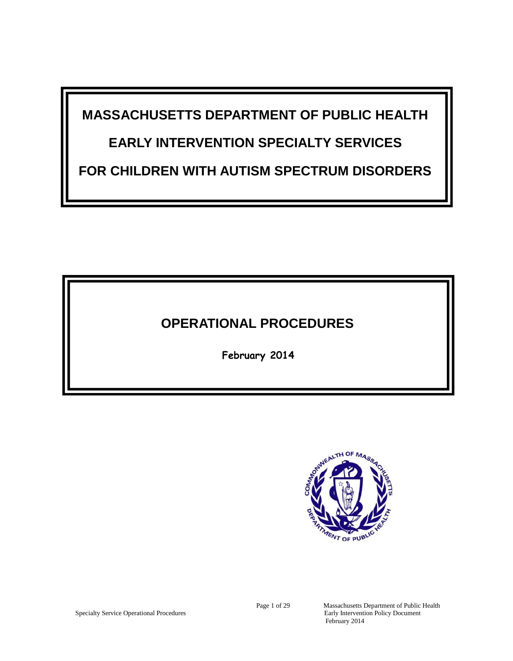**MASSACHUSETTS DEPARTMENT OF PUBLIC HEALTH**

# **EARLY INTERVENTION SPECIALTY SERVICES**

**FOR CHILDREN WITH AUTISM SPECTRUM DISORDERS**

## **OPERATIONAL PROCEDURES**

**February 2014**



Specialty Service Operational Procedures

Page 1 of 29 Massachusetts Department of Public Health<br>Early Intervention Policy Document February 2014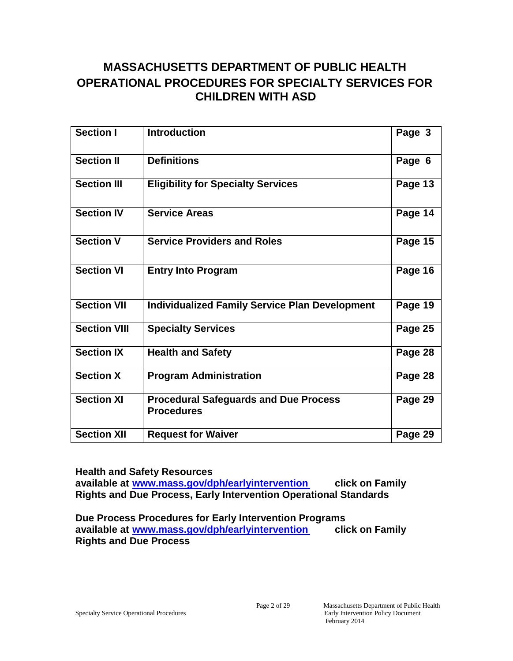## **MASSACHUSETTS DEPARTMENT OF PUBLIC HEALTH OPERATIONAL PROCEDURES FOR SPECIALTY SERVICES FOR CHILDREN WITH ASD**

| <b>Section I</b>    | <b>Introduction</b>                                               | Page 3  |
|---------------------|-------------------------------------------------------------------|---------|
| <b>Section II</b>   | <b>Definitions</b>                                                | Page 6  |
| <b>Section III</b>  | <b>Eligibility for Specialty Services</b>                         | Page 13 |
| <b>Section IV</b>   | <b>Service Areas</b>                                              | Page 14 |
| <b>Section V</b>    | <b>Service Providers and Roles</b>                                | Page 15 |
| <b>Section VI</b>   | <b>Entry Into Program</b>                                         | Page 16 |
| <b>Section VII</b>  | <b>Individualized Family Service Plan Development</b>             | Page 19 |
| <b>Section VIII</b> | <b>Specialty Services</b>                                         | Page 25 |
| <b>Section IX</b>   | <b>Health and Safety</b>                                          | Page 28 |
| <b>Section X</b>    | <b>Program Administration</b>                                     | Page 28 |
| <b>Section XI</b>   | <b>Procedural Safeguards and Due Process</b><br><b>Procedures</b> | Page 29 |
| <b>Section XII</b>  | <b>Request for Waiver</b>                                         | Page 29 |

**Health and Safety Resources available at www.mass.[gov/dph/earlyintervention click on](www.mass.gov/dph/earlyintervention) Family Rights and Due Process, Early Intervention Operational Standards**

**Due Process Procedures for Early Intervention Programs available at www.mass.[gov/dph/earlyintervention click on](www.mass.gov/dph/earlyintervention) Family Rights and Due Process**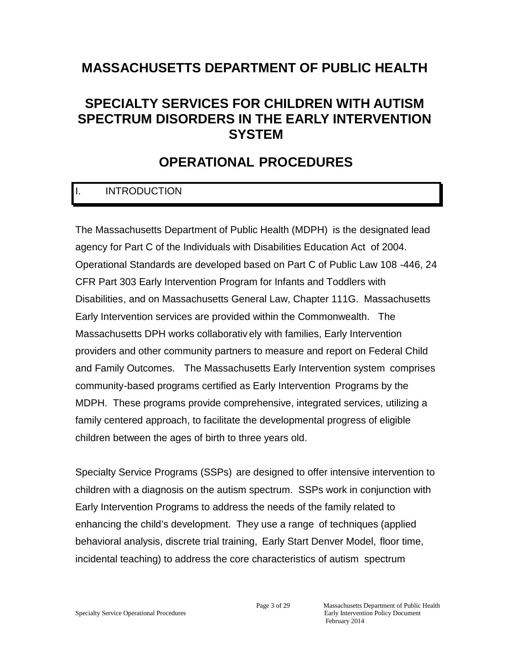## **MASSACHUSETTS DEPARTMENT OF PUBLIC HEALTH**

## **SPECIALTY SERVICES FOR CHILDREN WITH AUTISM SPECTRUM DISORDERS IN THE EARLY INTERVENTION SYSTEM**

## **OPERATIONAL PROCEDURES**

## I. INTRODUCTION

The Massachusetts Department of Public Health (MDPH) is the designated lead agency for Part C of the Individuals with Disabilities Education Act of 2004. Operational Standards are developed based on Part C of Public Law 108 -446, 24 CFR Part 303 Early Intervention Program for Infants and Toddlers with Disabilities, and on Massachusetts General Law, Chapter 111G. Massachusetts Early Intervention services are provided within the Commonwealth. The Massachusetts DPH works collaborativ ely with families, Early Intervention providers and other community partners to measure and report on Federal Child and Family Outcomes. The Massachusetts Early Intervention system comprises community-based programs certified as Early Intervention Programs by the MDPH. These programs provide comprehensive, integrated services, utilizing a family centered approach, to facilitate the developmental progress of eligible children between the ages of birth to three years old.

Specialty Service Programs (SSPs) are designed to offer intensive intervention to children with a diagnosis on the autism spectrum. SSPs work in conjunction with Early Intervention Programs to address the needs of the family related to enhancing the child's development. They use a range of techniques (applied behavioral analysis, discrete trial training, Early Start Denver Model, floor time, incidental teaching) to address the core characteristics of autism spectrum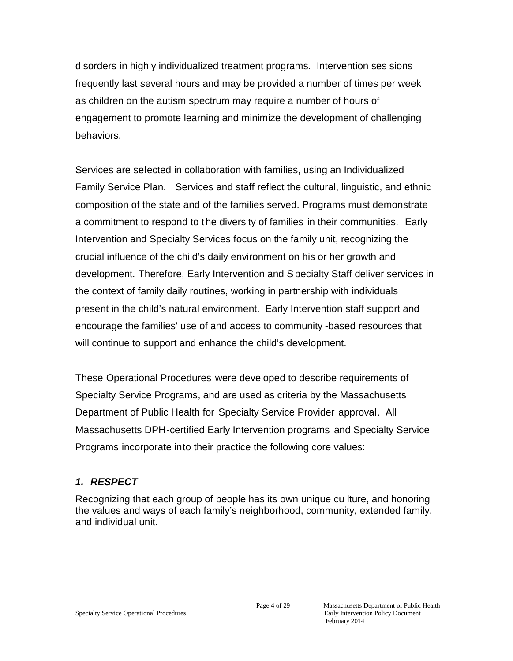disorders in highly individualized treatment programs. Intervention ses sions frequently last several hours and may be provided a number of times per week as children on the autism spectrum may require a number of hours of engagement to promote learning and minimize the development of challenging behaviors.

Services are selected in collaboration with families, using an Individualized Family Service Plan. Services and staff reflect the cultural, linguistic, and ethnic composition of the state and of the families served. Programs must demonstrate a commitment to respond to the diversity of families in their communities. Early Intervention and Specialty Services focus on the family unit, recognizing the crucial influence of the child's daily environment on his or her growth and development. Therefore, Early Intervention and Specialty Staff deliver services in the context of family daily routines, working in partnership with individuals present in the child's natural environment. Early Intervention staff support and encourage the families' use of and access to community -based resources that will continue to support and enhance the child's development.

These Operational Procedures were developed to describe requirements of Specialty Service Programs, and are used as criteria by the Massachusetts Department of Public Health for Specialty Service Provider approval. All Massachusetts DPH-certified Early Intervention programs and Specialty Service Programs incorporate into their practice the following core values:

### *1. RESPECT*

Recognizing that each group of people has its own unique cu lture, and honoring the values and ways of each family's neighborhood, community, extended family, and individual unit.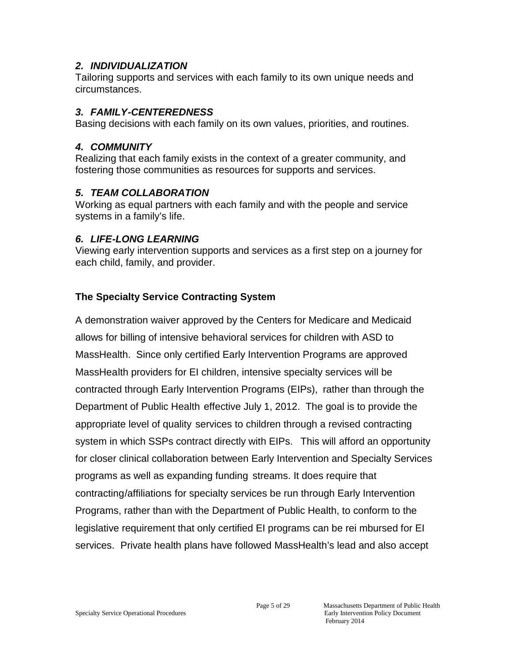#### *2. INDIVIDUALIZATION*

Tailoring supports and services with each family to its own unique needs and circumstances.

### *3. FAMILY-CENTEREDNESS*

Basing decisions with each family on its own values, priorities, and routines.

#### *4. COMMUNITY*

Realizing that each family exists in the context of a greater community, and fostering those communities as resources for supports and services.

### *5. TEAM COLLABORATION*

Working as equal partners with each family and with the people and service systems in a family's life.

### *6. LIFE-LONG LEARNING*

Viewing early intervention supports and services as a first step on a journey for each child, family, and provider.

## **The Specialty Service Contracting System**

A demonstration waiver approved by the Centers for Medicare and Medicaid allows for billing of intensive behavioral services for children with ASD to MassHealth. Since only certified Early Intervention Programs are approved MassHealth providers for EI children, intensive specialty services will be contracted through Early Intervention Programs (EIPs), rather than through the Department of Public Health effective July 1, 2012. The goal is to provide the appropriate level of quality services to children through a revised contracting system in which SSPs contract directly with EIPs. This will afford an opportunity for closer clinical collaboration between Early Intervention and Specialty Services programs as well as expanding funding streams. It does require that contracting/affiliations for specialty services be run through Early Intervention Programs, rather than with the Department of Public Health, to conform to the legislative requirement that only certified EI programs can be rei mbursed for EI services. Private health plans have followed MassHealth's lead and also accept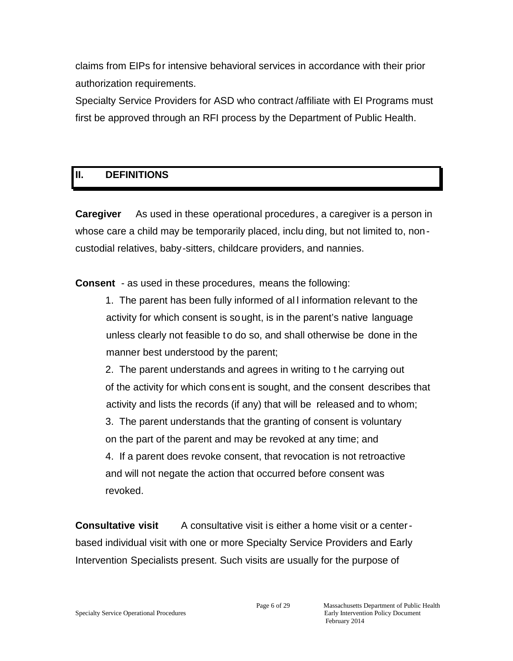claims from EIPs for intensive behavioral services in accordance with their prior authorization requirements.

Specialty Service Providers for ASD who contract /affiliate with EI Programs must first be approved through an RFI process by the Department of Public Health.

## **II. DEFINITIONS**

**Caregiver** As used in these operational procedures, a caregiver is a person in whose care a child may be temporarily placed, inclu ding, but not limited to, noncustodial relatives, baby-sitters, childcare providers, and nannies.

**Consent** - as used in these procedures, means the following:

1. The parent has been fully informed of al l information relevant to the activity for which consent is sought, is in the parent's native language unless clearly not feasible to do so, and shall otherwise be done in the manner best understood by the parent;

2. The parent understands and agrees in writing to t he carrying out of the activity for which consent is sought, and the consent describes that activity and lists the records (if any) that will be released and to whom;

3. The parent understands that the granting of consent is voluntary on the part of the parent and may be revoked at any time; and

4. If a parent does revoke consent, that revocation is not retroactive and will not negate the action that occurred before consent was revoked.

**Consultative visit** A consultative visit is either a home visit or a centerbased individual visit with one or more Specialty Service Providers and Early Intervention Specialists present. Such visits are usually for the purpose of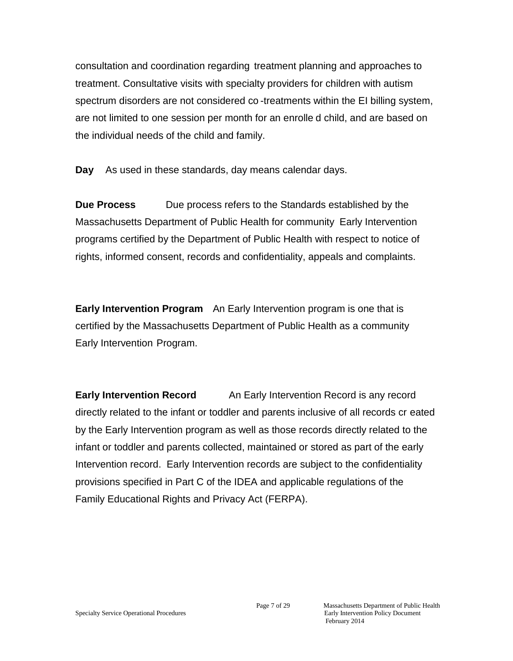consultation and coordination regarding treatment planning and approaches to treatment. Consultative visits with specialty providers for children with autism spectrum disorders are not considered co -treatments within the EI billing system, are not limited to one session per month for an enrolle d child, and are based on the individual needs of the child and family.

**Day** As used in these standards, day means calendar days.

**Due Process** Due process refers to the Standards established by the Massachusetts Department of Public Health for community Early Intervention programs certified by the Department of Public Health with respect to notice of rights, informed consent, records and confidentiality, appeals and complaints.

**Early Intervention Program** An Early Intervention program is one that is certified by the Massachusetts Department of Public Health as a community Early Intervention Program.

**Early Intervention Record** An Early Intervention Record is any record directly related to the infant or toddler and parents inclusive of all records cr eated by the Early Intervention program as well as those records directly related to the infant or toddler and parents collected, maintained or stored as part of the early Intervention record. Early Intervention records are subject to the confidentiality provisions specified in Part C of the IDEA and applicable regulations of the Family Educational Rights and Privacy Act (FERPA).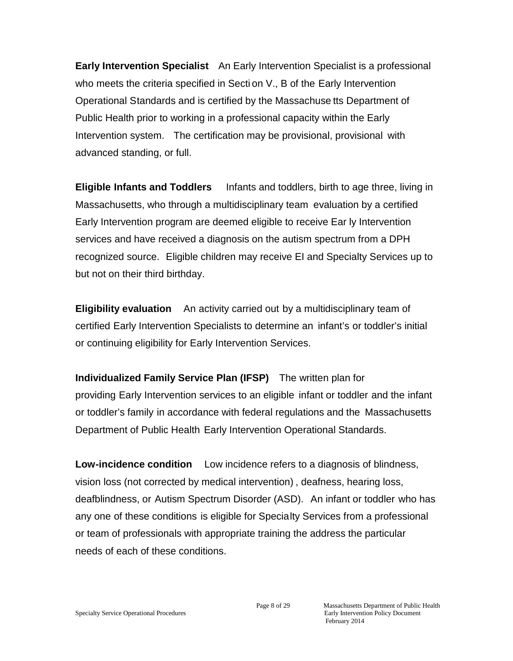**Early Intervention Specialist** An Early Intervention Specialist is a professional who meets the criteria specified in Secti on V., B of the Early Intervention Operational Standards and is certified by the Massachuse tts Department of Public Health prior to working in a professional capacity within the Early Intervention system. The certification may be provisional, provisional with advanced standing, or full.

**Eligible Infants and Toddlers** Infants and toddlers, birth to age three, living in Massachusetts, who through a multidisciplinary team evaluation by a certified Early Intervention program are deemed eligible to receive Ear ly Intervention services and have received a diagnosis on the autism spectrum from a DPH recognized source. Eligible children may receive EI and Specialty Services up to but not on their third birthday.

**Eligibility evaluation** An activity carried out by a multidisciplinary team of certified Early Intervention Specialists to determine an infant's or toddler's initial or continuing eligibility for Early Intervention Services.

**Individualized Family Service Plan (IFSP)** The written plan for providing Early Intervention services to an eligible infant or toddler and the infant or toddler's family in accordance with federal regulations and the Massachusetts Department of Public Health Early Intervention Operational Standards.

**Low-incidence condition** Low incidence refers to a diagnosis of blindness, vision loss (not corrected by medical intervention) , deafness, hearing loss, deafblindness, or Autism Spectrum Disorder (ASD). An infant or toddler who has any one of these conditions is eligible for Specialty Services from a professional or team of professionals with appropriate training the address the particular needs of each of these conditions.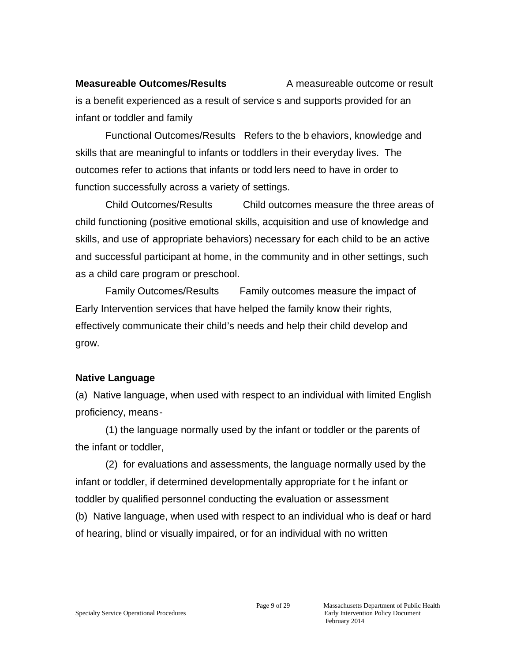**Measureable Outcomes/Results** A measureable outcome or result is a benefit experienced as a result of service s and supports provided for an infant or toddler and family

Functional Outcomes/Results Refers to the b ehaviors, knowledge and skills that are meaningful to infants or toddlers in their everyday lives. The outcomes refer to actions that infants or todd lers need to have in order to function successfully across a variety of settings.

Child Outcomes/Results Child outcomes measure the three areas of child functioning (positive emotional skills, acquisition and use of knowledge and skills, and use of appropriate behaviors) necessary for each child to be an active and successful participant at home, in the community and in other settings, such as a child care program or preschool.

Family Outcomes/Results Family outcomes measure the impact of Early Intervention services that have helped the family know their rights, effectively communicate their child's needs and help their child develop and grow.

### **Native Language**

(a) Native language, when used with respect to an individual with limited English proficiency, means-

(1) the language normally used by the infant or toddler or the parents of the infant or toddler,

(2) for evaluations and assessments, the language normally used by the infant or toddler, if determined developmentally appropriate for t he infant or toddler by qualified personnel conducting the evaluation or assessment (b) Native language, when used with respect to an individual who is deaf or hard of hearing, blind or visually impaired, or for an individual with no written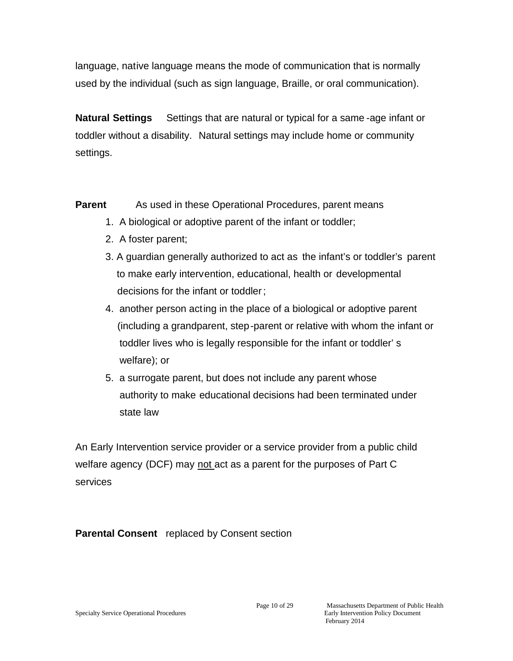language, native language means the mode of communication that is normally used by the individual (such as sign language, Braille, or oral communication).

**Natural Settings** Settings that are natural or typical for a same -age infant or toddler without a disability. Natural settings may include home or community settings.

**Parent** As used in these Operational Procedures, parent means

- 1. A biological or adoptive parent of the infant or toddler;
- 2. A foster parent;
- 3. A guardian generally authorized to act as the infant's or toddler's parent to make early intervention, educational, health or developmental decisions for the infant or toddler;
- 4. another person acting in the place of a biological or adoptive parent (including a grandparent, step-parent or relative with whom the infant or toddler lives who is legally responsible for the infant or toddler' s welfare); or
- 5. a surrogate parent, but does not include any parent whose authority to make educational decisions had been terminated under state law

An Early Intervention service provider or a service provider from a public child welfare agency (DCF) may not act as a parent for the purposes of Part C services

**Parental Consent** replaced by Consent section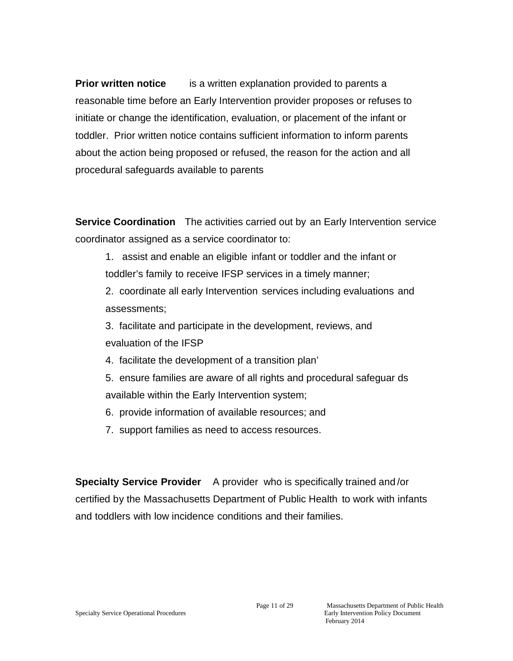**Prior written notice** is a written explanation provided to parents a reasonable time before an Early Intervention provider proposes or refuses to initiate or change the identification, evaluation, or placement of the infant or toddler. Prior written notice contains sufficient information to inform parents about the action being proposed or refused, the reason for the action and all procedural safeguards available to parents

**Service Coordination** The activities carried out by an Early Intervention service coordinator assigned as a service coordinator to:

1. assist and enable an eligible infant or toddler and the infant or toddler's family to receive IFSP services in a timely manner;

2. coordinate all early Intervention services including evaluations and assessments;

3. facilitate and participate in the development, reviews, and evaluation of the IFSP

- 4. facilitate the development of a transition plan'
- 5. ensure families are aware of all rights and procedural safeguar ds available within the Early Intervention system;
- 6. provide information of available resources; and
- 7. support families as need to access resources.

**Specialty Service Provider** A provider who is specifically trained and /or certified by the Massachusetts Department of Public Health to work with infants and toddlers with low incidence conditions and their families.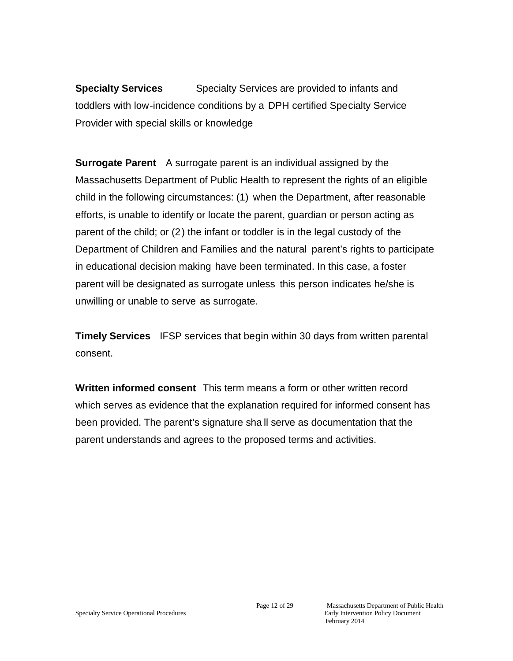**Specialty Services** Specialty Services are provided to infants and toddlers with low-incidence conditions by a DPH certified Specialty Service Provider with special skills or knowledge

**Surrogate Parent** A surrogate parent is an individual assigned by the Massachusetts Department of Public Health to represent the rights of an eligible child in the following circumstances: (1) when the Department, after reasonable efforts, is unable to identify or locate the parent, guardian or person acting as parent of the child; or (2) the infant or toddler is in the legal custody of the Department of Children and Families and the natural parent's rights to participate in educational decision making have been terminated. In this case, a foster parent will be designated as surrogate unless this person indicates he/she is unwilling or unable to serve as surrogate.

**Timely Services** IFSP services that begin within 30 days from written parental consent.

**Written informed consent** This term means a form or other written record which serves as evidence that the explanation required for informed consent has been provided. The parent's signature sha ll serve as documentation that the parent understands and agrees to the proposed terms and activities.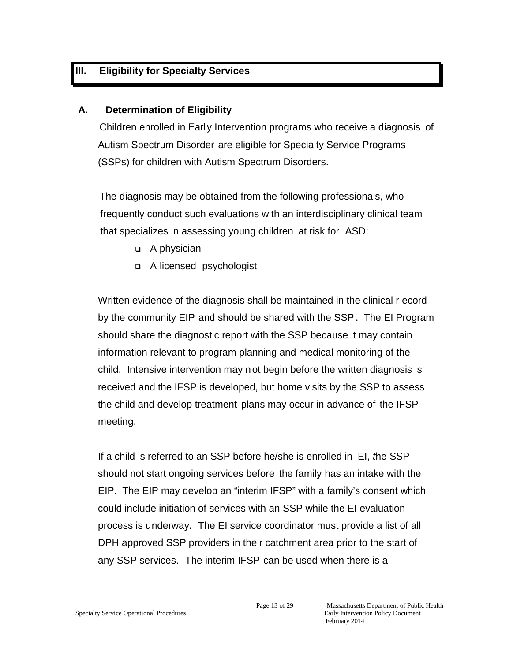## **III. Eligibility for Specialty Services**

### **A. Determination of Eligibility**

Children enrolled in Early Intervention programs who receive a diagnosis of Autism Spectrum Disorder are eligible for Specialty Service Programs (SSPs) for children with Autism Spectrum Disorders.

The diagnosis may be obtained from the following professionals, who frequently conduct such evaluations with an interdisciplinary clinical team that specializes in assessing young children at risk for ASD:

- □ A physician
- □ A licensed psychologist

Written evidence of the diagnosis shall be maintained in the clinical r ecord by the community EIP and should be shared with the SSP. The EI Program should share the diagnostic report with the SSP because it may contain information relevant to program planning and medical monitoring of the child. Intensive intervention may not begin before the written diagnosis is received and the IFSP is developed, but home visits by the SSP to assess the child and develop treatment plans may occur in advance of the IFSP meeting.

If a child is referred to an SSP before he/she is enrolled in EI, *t*he SSP should not start ongoing services before the family has an intake with the EIP. The EIP may develop an "interim IFSP" with a family's consent which could include initiation of services with an SSP while the EI evaluation process is underway. The EI service coordinator must provide a list of all DPH approved SSP providers in their catchment area prior to the start of any SSP services. The interim IFSP can be used when there is a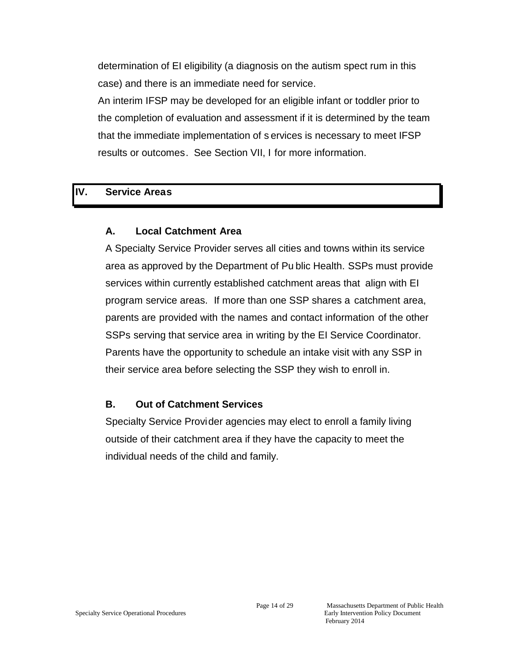determination of EI eligibility (a diagnosis on the autism spect rum in this case) and there is an immediate need for service.

An interim IFSP may be developed for an eligible infant or toddler prior to the completion of evaluation and assessment if it is determined by the team that the immediate implementation of s ervices is necessary to meet IFSP results or outcomes. See Section VII, I for more information.

### **IV. Service Areas**

### **A. Local Catchment Area**

A Specialty Service Provider serves all cities and towns within its service area as approved by the Department of Pu blic Health. SSPs must provide services within currently established catchment areas that align with EI program service areas. If more than one SSP shares a catchment area, parents are provided with the names and contact information of the other SSPs serving that service area in writing by the EI Service Coordinator. Parents have the opportunity to schedule an intake visit with any SSP in their service area before selecting the SSP they wish to enroll in.

### **B. Out of Catchment Services**

Specialty Service Provider agencies may elect to enroll a family living outside of their catchment area if they have the capacity to meet the individual needs of the child and family.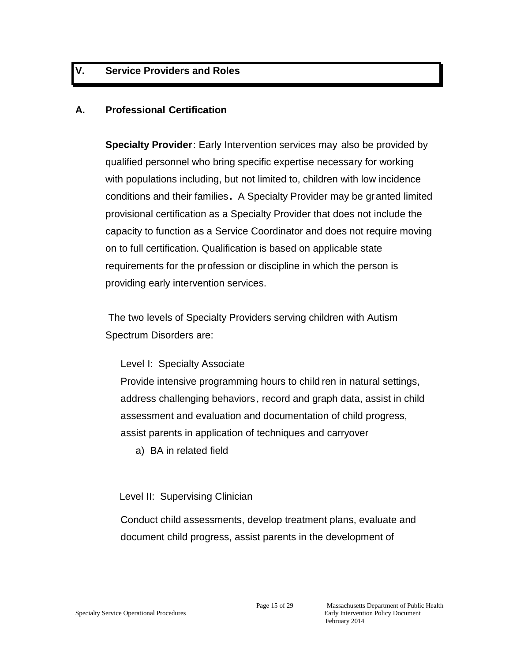## **V. Service Providers and Roles**

#### **A. Professional Certification**

**Specialty Provider**: Early Intervention services may also be provided by qualified personnel who bring specific expertise necessary for working with populations including, but not limited to, children with low incidence conditions and their families**.** A Specialty Provider may be granted limited provisional certification as a Specialty Provider that does not include the capacity to function as a Service Coordinator and does not require moving on to full certification. Qualification is based on applicable state requirements for the profession or discipline in which the person is providing early intervention services.

The two levels of Specialty Providers serving children with Autism Spectrum Disorders are:

#### Level I: Specialty Associate

Provide intensive programming hours to child ren in natural settings, address challenging behaviors , record and graph data, assist in child assessment and evaluation and documentation of child progress, assist parents in application of techniques and carryover

a) BA in related field

#### Level II: Supervising Clinician

Conduct child assessments, develop treatment plans, evaluate and document child progress, assist parents in the development of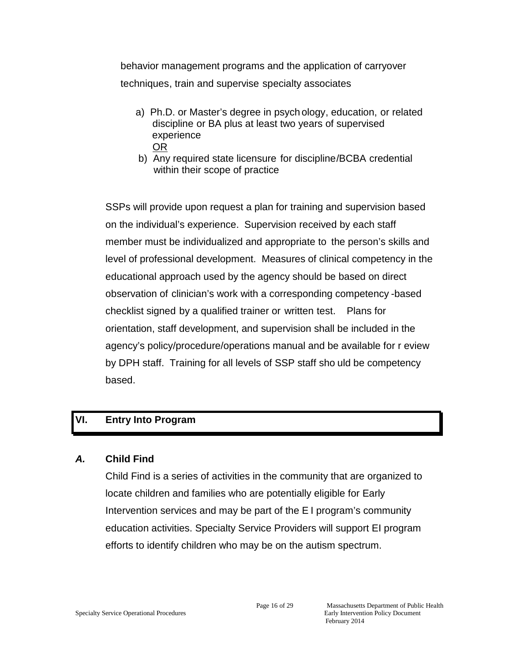behavior management programs and the application of carryover techniques, train and supervise specialty associates

- a) Ph.D. or Master's degree in psych ology, education, or related discipline or BA plus at least two years of supervised experience OR
- b) Any required state licensure for discipline/BCBA credential within their scope of practice

SSPs will provide upon request a plan for training and supervision based on the individual's experience. Supervision received by each staff member must be individualized and appropriate to the person's skills and level of professional development. Measures of clinical competency in the educational approach used by the agency should be based on direct observation of clinician's work with a corresponding competency -based checklist signed by a qualified trainer or written test. Plans for orientation, staff development, and supervision shall be included in the agency's policy/procedure/operations manual and be available for r eview by DPH staff. Training for all levels of SSP staff sho uld be competency based.

## **VI. Entry Into Program**

### *A.* **Child Find**

Child Find is a series of activities in the community that are organized to locate children and families who are potentially eligible for Early Intervention services and may be part of the E I program's community education activities. Specialty Service Providers will support EI program efforts to identify children who may be on the autism spectrum.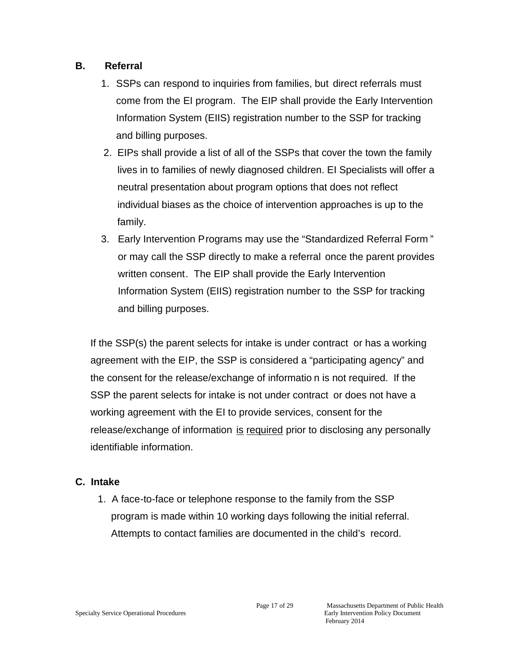## **B. Referral**

- 1. SSPs can respond to inquiries from families, but direct referrals must come from the EI program. The EIP shall provide the Early Intervention Information System (EIIS) registration number to the SSP for tracking and billing purposes.
- 2. EIPs shall provide a list of all of the SSPs that cover the town the family lives in to families of newly diagnosed children. EI Specialists will offer a neutral presentation about program options that does not reflect individual biases as the choice of intervention approaches is up to the family.
- 3. Early Intervention Programs may use the "Standardized Referral Form " or may call the SSP directly to make a referral once the parent provides written consent. The EIP shall provide the Early Intervention Information System (EIIS) registration number to the SSP for tracking and billing purposes.

If the SSP(s) the parent selects for intake is under contract or has a working agreement with the EIP, the SSP is considered a "participating agency" and the consent for the release/exchange of informatio n is not required. If the SSP the parent selects for intake is not under contract or does not have a working agreement with the EI to provide services, consent for the release/exchange of information is required prior to disclosing any personally identifiable information.

## **C. Intake**

1. A face-to-face or telephone response to the family from the SSP program is made within 10 working days following the initial referral. Attempts to contact families are documented in the child's record.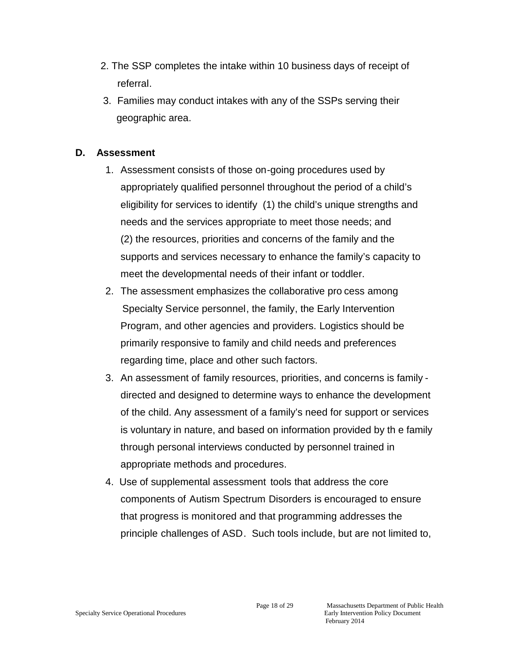- 2. The SSP completes the intake within 10 business days of receipt of referral.
- 3. Families may conduct intakes with any of the SSPs serving their geographic area.

### **D. Assessment**

- 1. Assessment consists of those on-going procedures used by appropriately qualified personnel throughout the period of a child's eligibility for services to identify (1) the child's unique strengths and needs and the services appropriate to meet those needs; and (2) the resources, priorities and concerns of the family and the supports and services necessary to enhance the family's capacity to meet the developmental needs of their infant or toddler.
- 2. The assessment emphasizes the collaborative pro cess among Specialty Service personnel, the family, the Early Intervention Program, and other agencies and providers. Logistics should be primarily responsive to family and child needs and preferences regarding time, place and other such factors.
- 3. An assessment of family resources, priorities, and concerns is family directed and designed to determine ways to enhance the development of the child. Any assessment of a family's need for support or services is voluntary in nature, and based on information provided by th e family through personal interviews conducted by personnel trained in appropriate methods and procedures.
- 4. Use of supplemental assessment tools that address the core components of Autism Spectrum Disorders is encouraged to ensure that progress is monitored and that programming addresses the principle challenges of ASD. Such tools include, but are not limited to,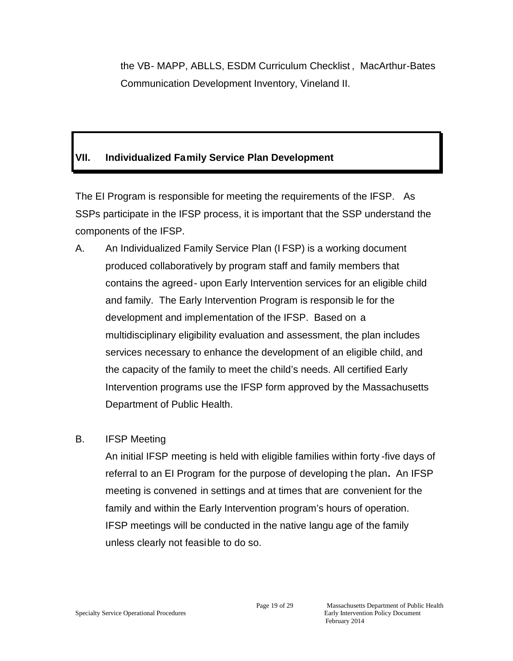the VB- MAPP, ABLLS, ESDM Curriculum Checklist , MacArthur-Bates Communication Development Inventory, Vineland II.

## **VII. Individualized Family Service Plan Development**

The EI Program is responsible for meeting the requirements of the IFSP. As SSPs participate in the IFSP process, it is important that the SSP understand the components of the IFSP.

A. An Individualized Family Service Plan (I FSP) is a working document produced collaboratively by program staff and family members that contains the agreed- upon Early Intervention services for an eligible child and family. The Early Intervention Program is responsib le for the development and implementation of the IFSP. Based on a multidisciplinary eligibility evaluation and assessment, the plan includes services necessary to enhance the development of an eligible child, and the capacity of the family to meet the child's needs. All certified Early Intervention programs use the IFSP form approved by the Massachusetts Department of Public Health.

## B. IFSP Meeting

An initial IFSP meeting is held with eligible families within forty -five days of referral to an EI Program for the purpose of developing the plan**.** An IFSP meeting is convened in settings and at times that are convenient for the family and within the Early Intervention program's hours of operation. IFSP meetings will be conducted in the native langu age of the family unless clearly not feasible to do so.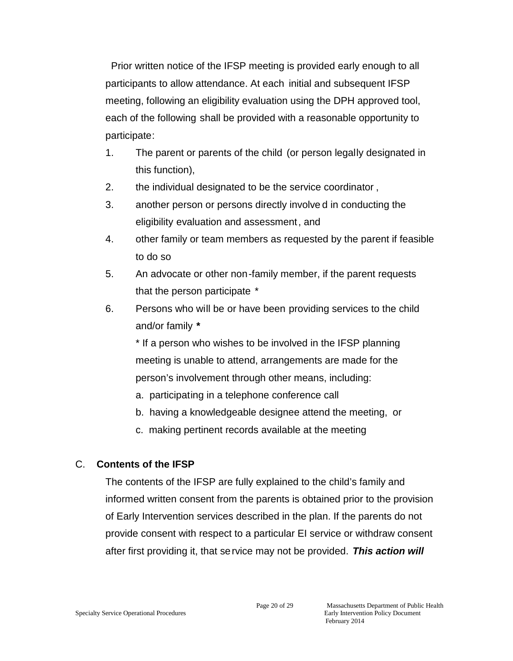Prior written notice of the IFSP meeting is provided early enough to all participants to allow attendance. At each initial and subsequent IFSP meeting, following an eligibility evaluation using the DPH approved tool, each of the following shall be provided with a reasonable opportunity to participate:

- 1. The parent or parents of the child (or person legally designated in this function),
- 2. the individual designated to be the service coordinator ,
- 3. another person or persons directly involve d in conducting the eligibility evaluation and assessment, and
- 4. other family or team members as requested by the parent if feasible to do so
- 5. An advocate or other non-family member, if the parent requests that the person participate \*
- 6. Persons who will be or have been providing services to the child and/or family *\**

\* If a person who wishes to be involved in the IFSP planning meeting is unable to attend, arrangements are made for the person's involvement through other means, including:

- a. participating in a telephone conference call
- b. having a knowledgeable designee attend the meeting, or
- c. making pertinent records available at the meeting

## C. **Contents of the IFSP**

The contents of the IFSP are fully explained to the child's family and informed written consent from the parents is obtained prior to the provision of Early Intervention services described in the plan. If the parents do not provide consent with respect to a particular EI service or withdraw consent after first providing it, that service may not be provided. *This action will*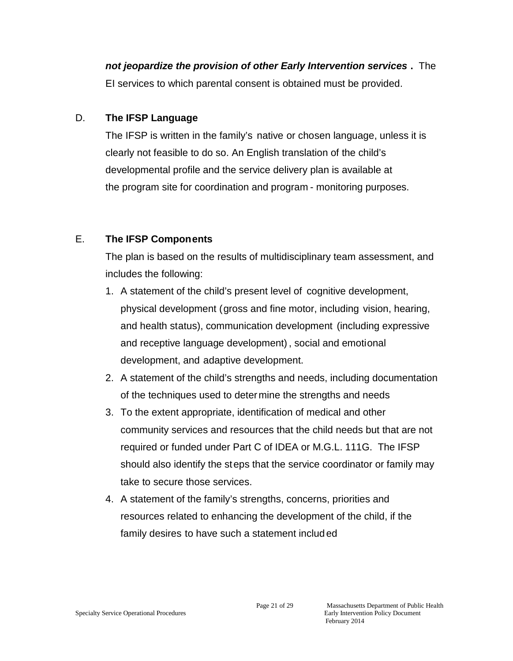*not jeopardize the provision of other Early Intervention services* **.** The EI services to which parental consent is obtained must be provided.

## D. **The IFSP Language**

The IFSP is written in the family's native or chosen language, unless it is clearly not feasible to do so. An English translation of the child's developmental profile and the service delivery plan is available at the program site for coordination and program - monitoring purposes.

## E. **The IFSP Components**

The plan is based on the results of multidisciplinary team assessment, and includes the following:

- 1. A statement of the child's present level of cognitive development, physical development (gross and fine motor, including vision, hearing, and health status), communication development (including expressive and receptive language development), social and emotional development, and adaptive development.
- 2. A statement of the child's strengths and needs, including documentation of the techniques used to determine the strengths and needs
- 3. To the extent appropriate, identification of medical and other community services and resources that the child needs but that are not required or funded under Part C of IDEA or M.G.L. 111G. The IFSP should also identify the steps that the service coordinator or family may take to secure those services.
- 4. A statement of the family's strengths, concerns, priorities and resources related to enhancing the development of the child, if the family desires to have such a statement includ ed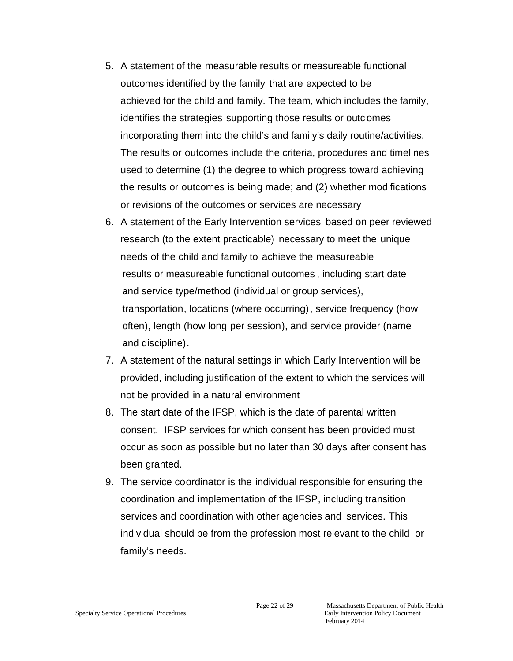- 5. A statement of the measurable results or measureable functional outcomes identified by the family that are expected to be achieved for the child and family. The team, which includes the family, identifies the strategies supporting those results or outc omes incorporating them into the child's and family's daily routine/activities. The results or outcomes include the criteria, procedures and timelines used to determine (1) the degree to which progress toward achieving the results or outcomes is being made; and (2) whether modifications or revisions of the outcomes or services are necessary
- 6. A statement of the Early Intervention services based on peer reviewed research (to the extent practicable) necessary to meet the unique needs of the child and family to achieve the measureable results or measureable functional outcomes , including start date and service type/method (individual or group services), transportation, locations (where occurring), service frequency (how often), length (how long per session), and service provider (name and discipline).
- 7. A statement of the natural settings in which Early Intervention will be provided, including justification of the extent to which the services will not be provided in a natural environment
- 8. The start date of the IFSP, which is the date of parental written consent. IFSP services for which consent has been provided must occur as soon as possible but no later than 30 days after consent has been granted.
- 9. The service coordinator is the individual responsible for ensuring the coordination and implementation of the IFSP, including transition services and coordination with other agencies and services. This individual should be from the profession most relevant to the child or family's needs.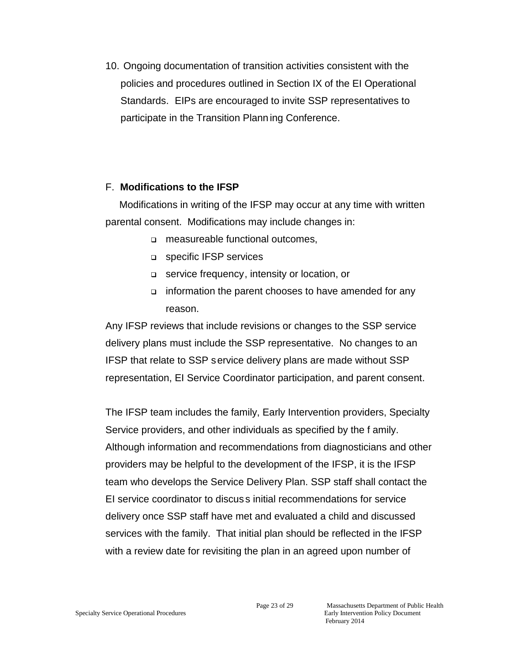10. Ongoing documentation of transition activities consistent with the policies and procedures outlined in Section IX of the EI Operational Standards. EIPs are encouraged to invite SSP representatives to participate in the Transition Plann ing Conference.

#### F. **Modifications to the IFSP**

 Modifications in writing of the IFSP may occur at any time with written parental consent. Modifications may include changes in:

- measureable functional outcomes,
- **p** specific IFSP services
- service frequency, intensity or location, or
- $\Box$  information the parent chooses to have amended for any reason.

Any IFSP reviews that include revisions or changes to the SSP service delivery plans must include the SSP representative. No changes to an IFSP that relate to SSP service delivery plans are made without SSP representation, EI Service Coordinator participation, and parent consent.

The IFSP team includes the family, Early Intervention providers, Specialty Service providers, and other individuals as specified by the f amily. Although information and recommendations from diagnosticians and other providers may be helpful to the development of the IFSP, it is the IFSP team who develops the Service Delivery Plan. SSP staff shall contact the EI service coordinator to discus s initial recommendations for service delivery once SSP staff have met and evaluated a child and discussed services with the family. That initial plan should be reflected in the IFSP with a review date for revisiting the plan in an agreed upon number of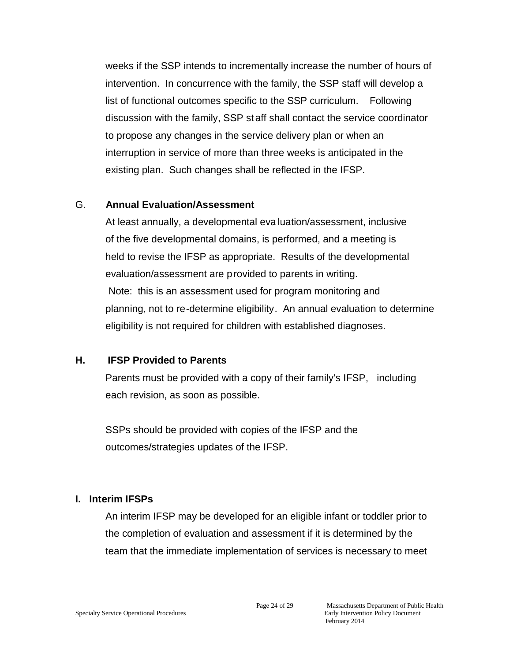weeks if the SSP intends to incrementally increase the number of hours of intervention. In concurrence with the family, the SSP staff will develop a list of functional outcomes specific to the SSP curriculum. Following discussion with the family, SSP st aff shall contact the service coordinator to propose any changes in the service delivery plan or when an interruption in service of more than three weeks is anticipated in the existing plan. Such changes shall be reflected in the IFSP.

#### G. **Annual Evaluation/Assessment**

At least annually, a developmental eva luation/assessment, inclusive of the five developmental domains, is performed, and a meeting is held to revise the IFSP as appropriate. Results of the developmental evaluation/assessment are provided to parents in writing. Note: this is an assessment used for program monitoring and planning, not to re-determine eligibility. An annual evaluation to determine eligibility is not required for children with established diagnoses.

### **H. IFSP Provided to Parents**

Parents must be provided with a copy of their family's IFSP, including each revision, as soon as possible.

SSPs should be provided with copies of the IFSP and the outcomes/strategies updates of the IFSP.

### **I. Interim IFSPs**

An interim IFSP may be developed for an eligible infant or toddler prior to the completion of evaluation and assessment if it is determined by the team that the immediate implementation of services is necessary to meet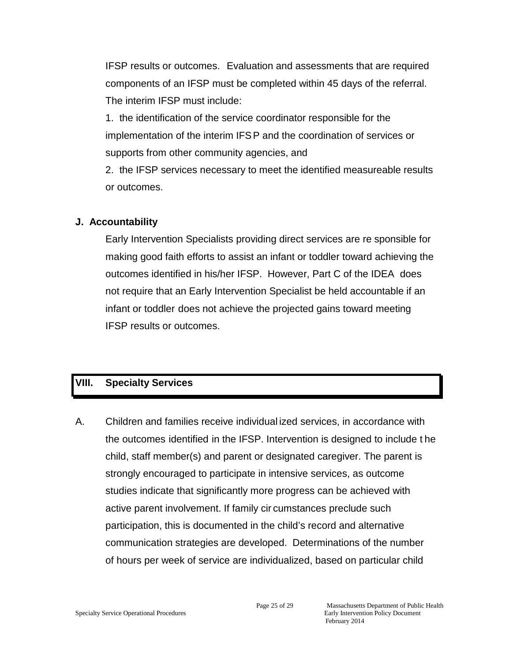IFSP results or outcomes. Evaluation and assessments that are required components of an IFSP must be completed within 45 days of the referral. The interim IFSP must include:

1. the identification of the service coordinator responsible for the implementation of the interim IFSP and the coordination of services or supports from other community agencies, and

2. the IFSP services necessary to meet the identified measureable results or outcomes.

## **J. Accountability**

Early Intervention Specialists providing direct services are re sponsible for making good faith efforts to assist an infant or toddler toward achieving the outcomes identified in his/her IFSP. However, Part C of the IDEA does not require that an Early Intervention Specialist be held accountable if an infant or toddler does not achieve the projected gains toward meeting IFSP results or outcomes.

## **VIII. Specialty Services**

A. Children and families receive individual ized services, in accordance with the outcomes identified in the IFSP. Intervention is designed to include t he child, staff member(s) and parent or designated caregiver. The parent is strongly encouraged to participate in intensive services, as outcome studies indicate that significantly more progress can be achieved with active parent involvement. If family cir cumstances preclude such participation, this is documented in the child's record and alternative communication strategies are developed. Determinations of the number of hours per week of service are individualized, based on particular child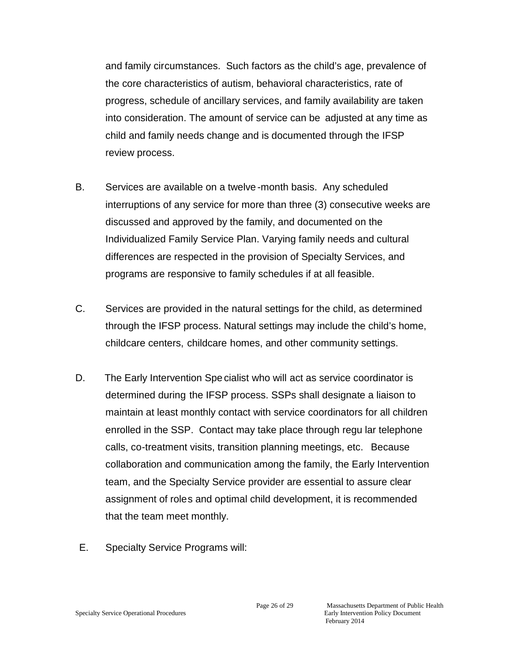and family circumstances. Such factors as the child's age, prevalence of the core characteristics of autism, behavioral characteristics, rate of progress, schedule of ancillary services, and family availability are taken into consideration. The amount of service can be adjusted at any time as child and family needs change and is documented through the IFSP review process.

- B. Services are available on a twelve -month basis. Any scheduled interruptions of any service for more than three (3) consecutive weeks are discussed and approved by the family, and documented on the Individualized Family Service Plan. Varying family needs and cultural differences are respected in the provision of Specialty Services, and programs are responsive to family schedules if at all feasible.
- C. Services are provided in the natural settings for the child, as determined through the IFSP process. Natural settings may include the child's home, childcare centers, childcare homes, and other community settings.
- D. The Early Intervention Spe cialist who will act as service coordinator is determined during the IFSP process. SSPs shall designate a liaison to maintain at least monthly contact with service coordinators for all children enrolled in the SSP. Contact may take place through regu lar telephone calls, co-treatment visits, transition planning meetings, etc. Because collaboration and communication among the family, the Early Intervention team, and the Specialty Service provider are essential to assure clear assignment of roles and optimal child development, it is recommended that the team meet monthly.
- E. Specialty Service Programs will: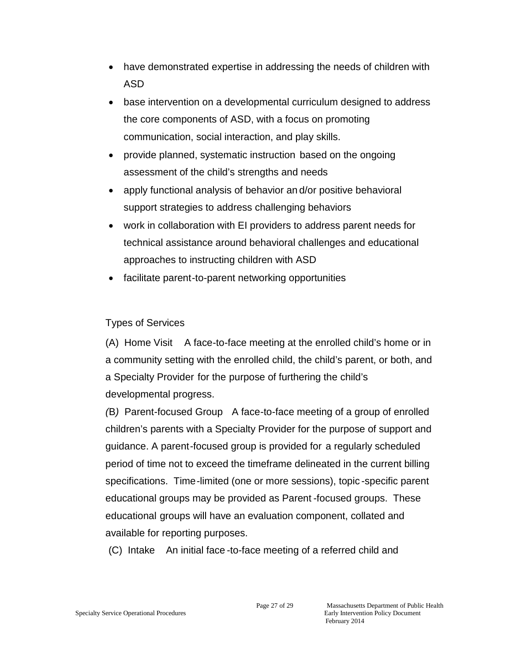- have demonstrated expertise in addressing the needs of children with ASD
- base intervention on a developmental curriculum designed to address the core components of ASD, with a focus on promoting communication, social interaction, and play skills.
- provide planned, systematic instruction based on the ongoing assessment of the child's strengths and needs
- apply functional analysis of behavior an d/or positive behavioral support strategies to address challenging behaviors
- work in collaboration with EI providers to address parent needs for technical assistance around behavioral challenges and educational approaches to instructing children with ASD
- facilitate parent-to-parent networking opportunities

## Types of Services

(A) Home Visit A face-to-face meeting at the enrolled child's home or in a community setting with the enrolled child, the child's parent, or both, and a Specialty Provider for the purpose of furthering the child's developmental progress.

*(*B*)* Parent-focused Group A face-to-face meeting of a group of enrolled children's parents with a Specialty Provider for the purpose of support and guidance. A parent-focused group is provided for a regularly scheduled period of time not to exceed the timeframe delineated in the current billing specifications. Time-limited (one or more sessions), topic -specific parent educational groups may be provided as Parent -focused groups. These educational groups will have an evaluation component, collated and available for reporting purposes.

(C) Intake An initial face -to-face meeting of a referred child and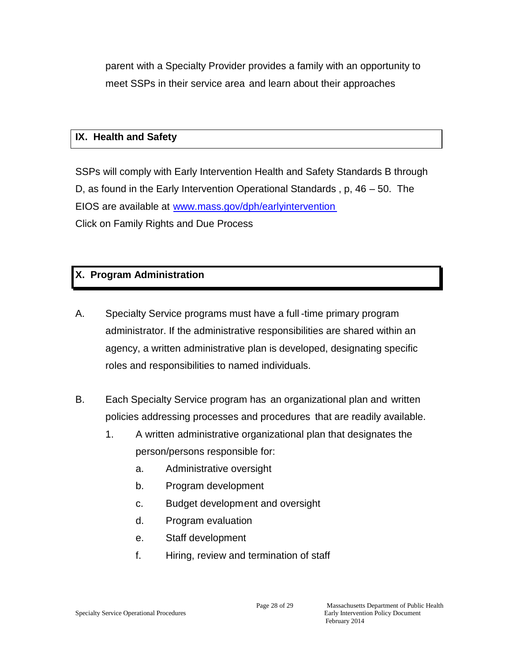parent with a Specialty Provider provides a family with an opportunity to meet SSPs in their service area and learn about their approaches

## **IX. Health and Safety**

SSPs will comply with Early Intervention Health and Safety Standards B through D, as found in the Early Intervention Operational Standards , p, 46 – 50. The EIOS are available at www.[mass.gov/dph/earlyintervention](www.mass.gov/dph/earlyintervention) Click on Family Rights and Due Process

## **X. Program Administration**

- A. Specialty Service programs must have a full -time primary program administrator. If the administrative responsibilities are shared within an agency, a written administrative plan is developed, designating specific roles and responsibilities to named individuals.
- B. Each Specialty Service program has an organizational plan and written policies addressing processes and procedures that are readily available.
	- 1. A written administrative organizational plan that designates the person/persons responsible for:
		- a. Administrative oversight
		- b. Program development
		- c. Budget development and oversight
		- d. Program evaluation
		- e. Staff development
		- f. Hiring, review and termination of staff